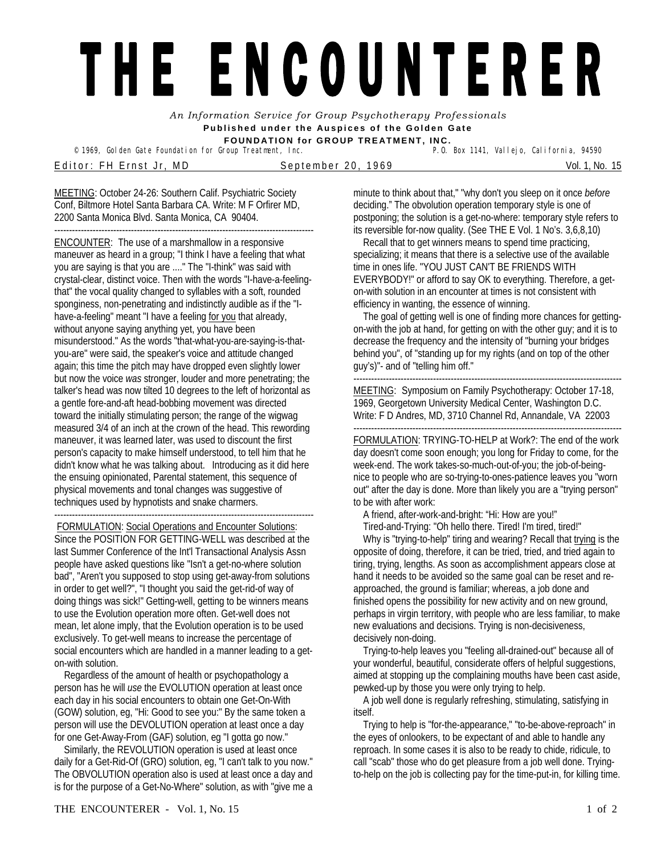## THE ENCOUNTERER

*An Information Service for Group Psychotherapy Professionals*  **Published under the Auspices of the Golden Gate FOUNDATION for GROUP TREATMENT, INC.** 

© 1969, Golden Gate Foundation for Group Treatment, Inc.

Editor: FH Ernst Jr, MD September 20, 1969 Vol. 1, No. 15

MEETING: October 24-26: Southern Calif. Psychiatric Society Conf, Biltmore Hotel Santa Barbara CA. Write: M F Orfirer MD, 2200 Santa Monica Blvd. Santa Monica, CA 90404.

---------------------------------------------------------------------------------------- ENCOUNTER: The use of a marshmallow in a responsive maneuver as heard in a group; "I think I have a feeling that what you are saying is that you are ...." The "I-think" was said with crystal-clear, distinct voice. Then with the words "I-have-a-feelingthat" the vocal quality changed to syllables with a soft, rounded sponginess, non-penetrating and indistinctly audible as if the "Ihave-a-feeling" meant "I have a feeling for you that already, without anyone saying anything yet, you have been misunderstood." As the words "that-what-you-are-saying-is-thatyou-are" were said, the speaker's voice and attitude changed again; this time the pitch may have dropped even slightly lower but now the voice *was* stronger, louder and more penetrating; the talker's head was now tilted 10 degrees to the left of horizontal as a gentle fore-and-aft head-bobbing movement was directed toward the initially stimulating person; the range of the wigwag measured 3/4 of an inch at the crown of the head. This rewording maneuver, it was learned later, was used to discount the first person's capacity to make himself understood, to tell him that he didn't know what he was talking about. Introducing as it did here the ensuing opinionated, Parental statement, this sequence of physical movements and tonal changes was suggestive of techniques used by hypnotists and snake charmers.

---------------------------------------------------------------------------------------- FORMULATION: Social Operations and Encounter Solutions: Since the POSITION FOR GETTING-WELL was described at the last Summer Conference of the Int'l Transactional Analysis Assn people have asked questions like "Isn't a get-no-where solution bad", "Aren't you supposed to stop using get-away-from solutions in order to get well?", "I thought you said the get-rid-of way of doing things was sick!" Getting-well, getting to be winners means to use the Evolution operation more often. Get-well does not mean, let alone imply, that the Evolution operation is to be used exclusively. To get-well means to increase the percentage of social encounters which are handled in a manner leading to a geton-with solution.

 Regardless of the amount of health or psychopathology a person has he will *use* the EVOLUTION operation at least once each day in his social encounters to obtain one Get-On-With (GOW) solution, eg, "Hi: Good to see you:" By the same token a person will use the DEVOLUTION operation at least once a day for one Get-Away-From (GAF) solution, eg "I gotta go now."

 Similarly, the REVOLUTION operation is used at least once daily for a Get-Rid-Of (GRO) solution, eg, "I can't talk to you now." The OBVOLUTION operation also is used at least once a day and is for the purpose of a Get-No-Where" solution, as with "give me a minute to think about that," "why don't you sleep on it once *before*  deciding." The obvolution operation temporary style is one of postponing; the solution is a get-no-where: temporary style refers to its reversible for-now quality. (See THE E Vol. 1 No's. 3,6,8,10)

 Recall that to get winners means to spend time practicing, specializing; it means that there is a selective use of the available time in ones life. "YOU JUST CAN'T BE FRIENDS WITH EVERYBODY!" or afford to say OK to everything. Therefore, a geton-with solution in an encounter at times is not consistent with efficiency in wanting, the essence of winning.

 The goal of getting well is one of finding more chances for gettingon-with the job at hand, for getting on with the other guy; and it is to decrease the frequency and the intensity of "burning your bridges behind you", of "standing up for my rights (and on top of the other guy's)"- and of "telling him off."

------------------------------------------------------------------------------------------- MEETING: Symposium on Family Psychotherapy: October 17-18, 1969, Georgetown University Medical Center, Washington D.C. Write: F D Andres, MD, 3710 Channel Rd, Annandale, VA 22003 -------------------------------------------------------------------------------------------

FORMULATION: TRYING-TO-HELP at Work?: The end of the work day doesn't come soon enough; you long for Friday to come, for the week-end. The work takes-so-much-out-of-you; the job-of-beingnice to people who are so-trying-to-ones-patience leaves you "worn out" after the day is done. More than likely you are a "trying person" to be with after work:

 A friend, after-work-and-bright: "Hi: How are you!" Tired-and-Trying: "Oh hello there. Tired! I'm tired, tired!"

 Why is "trying-to-help" tiring and wearing? Recall that trying is the opposite of doing, therefore, it can be tried, tried, and tried again to tiring, trying, lengths. As soon as accomplishment appears close at hand it needs to be avoided so the same goal can be reset and reapproached, the ground is familiar; whereas, a job done and finished opens the possibility for new activity and on new ground, perhaps in virgin territory, with people who are less familiar, to make new evaluations and decisions. Trying is non-decisiveness, decisively non-doing.

 Trying-to-help leaves you "feeling all-drained-out" because all of your wonderful, beautiful, considerate offers of helpful suggestions, aimed at stopping up the complaining mouths have been cast aside, pewked-up by those you were only trying to help.

 A job well done is regularly refreshing, stimulating, satisfying in itself.

 Trying to help is "for-the-appearance," "to-be-above-reproach" in the eyes of onlookers, to be expectant of and able to handle any reproach. In some cases it is also to be ready to chide, ridicule, to call "scab" those who do get pleasure from a job well done. Tryingto-help on the job is collecting pay for the time-put-in, for killing time.